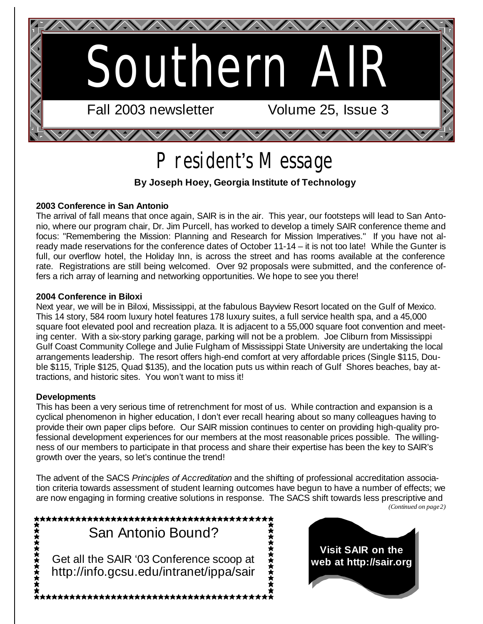

# President's Message

#### **By Joseph Hoey, Georgia Institute of Technology**

#### **2003 Conference in San Antonio**

The arrival of fall means that once again, SAIR is in the air. This year, our footsteps will lead to San Antonio, where our program chair, Dr. Jim Purcell, has worked to develop a timely SAIR conference theme and focus: "Remembering the Mission: Planning and Research for Mission Imperatives." If you have not already made reservations for the conference dates of October 11-14 – it is not too late! While the Gunter is full, our overflow hotel, the Holiday Inn, is across the street and has rooms available at the conference rate. Registrations are still being welcomed. Over 92 proposals were submitted, and the conference offers a rich array of learning and networking opportunities. We hope to see you there!

#### **2004 Conference in Biloxi**

Next year, we will be in Biloxi, Mississippi, at the fabulous Bayview Resort located on the Gulf of Mexico. This 14 story, 584 room luxury hotel features 178 luxury suites, a full service health spa, and a 45,000 square foot elevated pool and recreation plaza. It is adjacent to a 55,000 square foot convention and meeting center. With a six-story parking garage, parking will not be a problem. Joe Cliburn from Mississippi Gulf Coast Community College and Julie Fulgham of Mississippi State University are undertaking the local arrangements leadership. The resort offers high-end comfort at very affordable prices (Single \$115, Double \$115, Triple \$125, Quad \$135), and the location puts us within reach of Gulf Shores beaches, bay attractions, and historic sites. You won't want to miss it!

#### **Developments**

This has been a very serious time of retrenchment for most of us. While contraction and expansion is a cyclical phenomenon in higher education, I don't ever recall hearing about so many colleagues having to provide their own paper clips before. Our SAIR mission continues to center on providing high-quality professional development experiences for our members at the most reasonable prices possible. The willingness of our members to participate in that process and share their expertise has been the key to SAIR's growth over the years, so let's continue the trend!

The advent of the SACS *Principles of Accreditation* and the shifting of professional accreditation association criteria towards assessment of student learning outcomes have begun to have a number of effects; we are now engaging in forming creative solutions in response. The SACS shift towards less prescriptive and *(Continued on page 2)*

\*\*\*\*\*\*\*\*\*\*\*\*\*\*\*\*\*\*\*\*\*\* 大女女女女女女女女女女 ★★★★★★★★★ San Antonio Bound? Get all the SAIR '03 Conference scoop at http://info.gcsu.edu/intranet/ippa/sair **;★★★★★★★★★★★★★★★★★★★★★★★★★★★★**★★<del>★</del>★

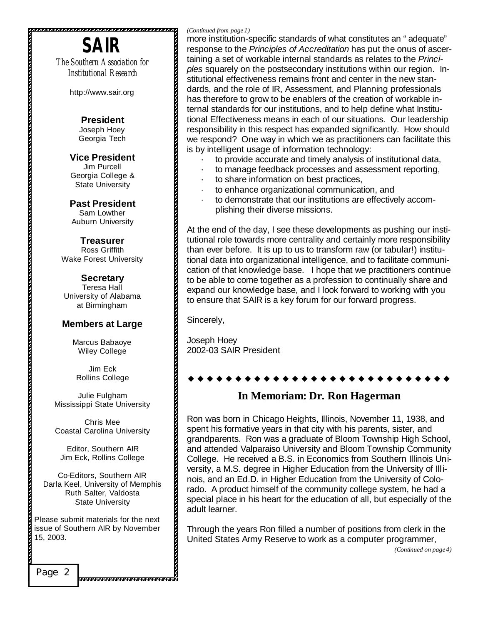# **SAIR**

*The Southern Association for Institutional Research*

http://www.sair.org

**President**  Joseph Hoey Georgia Tech

**Vice President**  Jim Purcell Georgia College & State University

**Past President**  Sam Lowther Auburn University

**Treasurer** Ross Griffith Wake Forest University

#### **Secretary** Teresa Hall University of Alabama at Birmingham

#### **Members at Large**

Marcus Babaoye Wiley College

Jim Eck Rollins College

Julie Fulgham Mississippi State University

Chris Mee Coastal Carolina University

Editor, Southern AIR Jim Eck, Rollins College

Co-Editors, Southern AIR Darla Keel, University of Memphis Ruth Salter, Valdosta State University

Please submit materials for the next issue of Southern AIR by November 15, 2003.

Page 2

#### *(Continued from page 1)*

more institution-specific standards of what constitutes an "adequate" response to the *Principles of Accreditation* has put the onus of ascertaining a set of workable internal standards as relates to the *Principles* squarely on the postsecondary institutions within our region. Institutional effectiveness remains front and center in the new standards, and the role of IR, Assessment, and Planning professionals has therefore to grow to be enablers of the creation of workable internal standards for our institutions, and to help define what Institutional Effectiveness means in each of our situations. Our leadership responsibility in this respect has expanded significantly. How should we respond? One way in which we as practitioners can facilitate this is by intelligent usage of information technology:

- · to provide accurate and timely analysis of institutional data,
- · to manage feedback processes and assessment reporting,
- · to share information on best practices,
	- · to enhance organizational communication, and
- to demonstrate that our institutions are effectively accomplishing their diverse missions.

At the end of the day, I see these developments as pushing our institutional role towards more centrality and certainly more responsibility than ever before. It is up to us to transform raw (or tabular!) institutional data into organizational intelligence, and to facilitate communication of that knowledge base. I hope that we practitioners continue to be able to come together as a profession to continually share and expand our knowledge base, and I look forward to working with you to ensure that SAIR is a key forum for our forward progress.

Sincerely,

Joseph Hoey 2002-03 SAIR President

#### \* \* \* \* \* \* \* \* \* \*

#### **In Memoriam: Dr. Ron Hagerman**

Ron was born in Chicago Heights, Illinois, November 11, 1938, and spent his formative years in that city with his parents, sister, and grandparents. Ron was a graduate of Bloom Township High School, and attended Valparaiso University and Bloom Township Community College. He received a B.S. in Economics from Southern Illinois University, a M.S. degree in Higher Education from the University of Illinois, and an Ed.D. in Higher Education from the University of Colorado. A product himself of the community college system, he had a special place in his heart for the education of all, but especially of the adult learner.

Through the years Ron filled a number of positions from clerk in the United States Army Reserve to work as a computer programmer,

*(Continued on page 4)*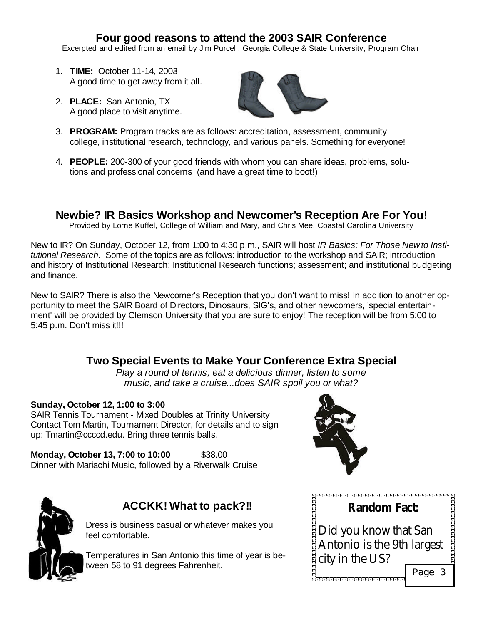### **Four good reasons to attend the 2003 SAIR Conference**

Excerpted and edited from an email by Jim Purcell, Georgia College & State University, Program Chair

- 1. **TIME:** October 11-14, 2003 A good time to get away from it all.
- 2. **PLACE:** San Antonio, TX A good place to visit anytime.



- 3. **PROGRAM:** Program tracks are as follows: accreditation, assessment, community college, institutional research, technology, and various panels. Something for everyone!
- 4. **PEOPLE:** 200-300 of your good friends with whom you can share ideas, problems, solutions and professional concerns (and have a great time to boot!)

## **Newbie? IR Basics Workshop and Newcomer's Reception Are For You!**

Provided by Lorne Kuffel, College of William and Mary, and Chris Mee, Coastal Carolina University

New to IR? On Sunday, October 12, from 1:00 to 4:30 p.m., SAIR will host *IR Basics: For Those New to Institutional Research*. Some of the topics are as follows: introduction to the workshop and SAIR; introduction and history of Institutional Research; Institutional Research functions; assessment; and institutional budgeting and finance.

New to SAIR? There is also the Newcomer's Reception that you don't want to miss! In addition to another opportunity to meet the SAIR Board of Directors, Dinosaurs, SIG's, and other newcomers, 'special entertainment' will be provided by Clemson University that you are sure to enjoy! The reception will be from 5:00 to 5:45 p.m. Don't miss it!!!

# **Two Special Events to Make Your Conference Extra Special**

*Play a round of tennis, eat a delicious dinner, listen to some music, and take a cruise...does SAIR spoil you or what?*

#### **Sunday, October 12, 1:00 to 3:00**

SAIR Tennis Tournament - Mixed Doubles at Trinity University Contact Tom Martin, Tournament Director, for details and to sign up: Tmartin@ccccd.edu. Bring three tennis balls.

**Monday, October 13, 7:00 to 10:00** \$38.00 Dinner with Mariachi Music, followed by a Riverwalk Cruise





# **ACCKK! What to pack?!!**

Dress is business casual or whatever makes you feel comfortable.

Temperatures in San Antonio this time of year is between 58 to 91 degrees Fahrenheit.

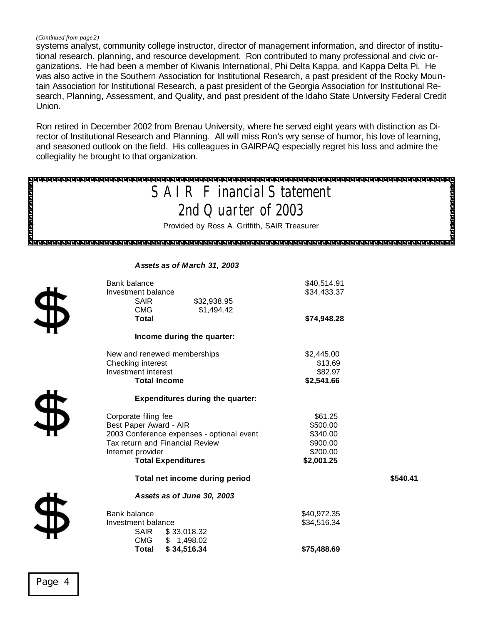#### *(Continued from page 2)*

systems analyst, community college instructor, director of management information, and director of institutional research, planning, and resource development. Ron contributed to many professional and civic organizations. He had been a member of Kiwanis International, Phi Delta Kappa, and Kappa Delta Pi. He was also active in the Southern Association for Institutional Research, a past president of the Rocky Mountain Association for Institutional Research, a past president of the Georgia Association for Institutional Research, Planning, Assessment, and Quality, and past president of the Idaho State University Federal Credit Union.

Ron retired in December 2002 from Brenau University, where he served eight years with distinction as Director of Institutional Research and Planning. All will miss Ron's wry sense of humor, his love of learning, and seasoned outlook on the field. His colleagues in GAIRPAQ especially regret his loss and admire the collegiality he brought to that organization.

| <b>SAI R F inancial Statement</b>                                   |                                                        |                        |  |  |
|---------------------------------------------------------------------|--------------------------------------------------------|------------------------|--|--|
| <b>Romandonom</b><br><b>Report</b><br>Reported<br>Reported Province |                                                        |                        |  |  |
| 2nd Quarter of 2003                                                 |                                                        |                        |  |  |
|                                                                     | Provided by Ross A. Griffith, SAIR Treasurer           |                        |  |  |
| व ब ब ब ब ब ब ब ब ब                                                 |                                                        |                        |  |  |
|                                                                     |                                                        |                        |  |  |
|                                                                     |                                                        |                        |  |  |
| Assets as of March 31, 2003                                         |                                                        |                        |  |  |
|                                                                     | Bank balance                                           | \$40,514.91            |  |  |
|                                                                     | Investment balance                                     | \$34,433.37            |  |  |
|                                                                     | <b>SAIR</b><br>\$32,938.95<br><b>CMG</b>               |                        |  |  |
|                                                                     | \$1,494.42<br><b>Total</b>                             | \$74,948.28            |  |  |
|                                                                     |                                                        |                        |  |  |
| Income during the quarter:                                          |                                                        |                        |  |  |
|                                                                     | New and renewed memberships                            | \$2,445.00             |  |  |
|                                                                     | Checking interest                                      | \$13.69                |  |  |
|                                                                     | Investment interest                                    | \$82.97                |  |  |
|                                                                     | <b>Total Income</b>                                    | \$2,541.66             |  |  |
|                                                                     | <b>Expenditures during the quarter:</b>                |                        |  |  |
|                                                                     | Corporate filing fee                                   | \$61.25                |  |  |
|                                                                     | Best Paper Award - AIR                                 | \$500.00               |  |  |
|                                                                     | 2003 Conference expenses - optional event              | \$340.00               |  |  |
|                                                                     | Tax return and Financial Review                        | \$900.00               |  |  |
|                                                                     | Internet provider<br><b>Total Expenditures</b>         | \$200.00<br>\$2,001.25 |  |  |
|                                                                     |                                                        |                        |  |  |
|                                                                     | Total net income during period                         | \$540.41               |  |  |
|                                                                     | Assets as of June 30, 2003                             |                        |  |  |
|                                                                     | Bank balance                                           | \$40,972.35            |  |  |
|                                                                     | Investment balance                                     | \$34,516.34            |  |  |
|                                                                     | <b>SAIR</b><br>\$33,018.32<br><b>CMG</b><br>\$1,498.02 |                        |  |  |
|                                                                     | \$34,516.34<br>Total                                   | \$75,488.69            |  |  |
|                                                                     |                                                        |                        |  |  |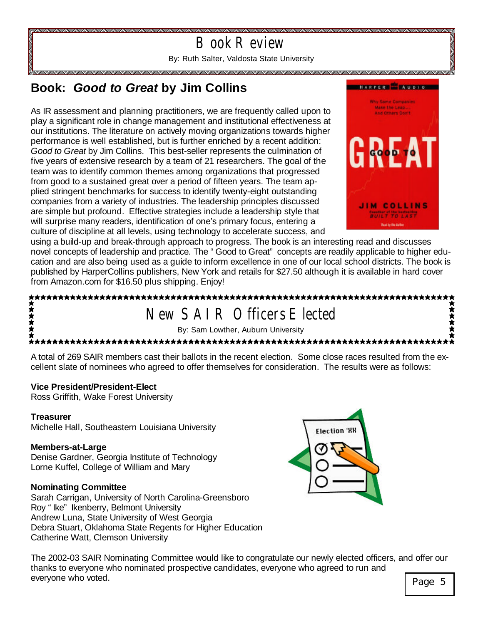

# **Book:** *Good to Great* **by Jim Collins**

As IR assessment and planning practitioners, we are frequently called upon to play a significant role in change management and institutional effectiveness at our institutions. The literature on actively moving organizations towards higher performance is well established, but is further enriched by a recent addition: *Good to Great* by Jim Collins. This best-seller represents the culmination of five years of extensive research by a team of 21 researchers. The goal of the team was to identify common themes among organizations that progressed from good to a sustained great over a period of fifteen years. The team applied stringent benchmarks for success to identify twenty-eight outstanding companies from a variety of industries. The leadership principles discussed are simple but profound. Effective strategies include a leadership style that will surprise many readers, identification of one's primary focus, entering a culture of discipline at all levels, using technology to accelerate success, and



using a build-up and break-through approach to progress. The book is an interesting read and discusses novel concepts of leadership and practice. The "Good to Great" concepts are readily applicable to higher education and are also being used as a guide to inform excellence in one of our local school districts. The book is published by HarperCollins publishers, New York and retails for \$27.50 although it is available in hard cover from Amazon.com for \$16.50 plus shipping. Enjoy!

#### 大大大大大 New SAIR Officers Elected By: Sam Lowther, Auburn University

A total of 269 SAIR members cast their ballots in the recent election. Some close races resulted from the excellent slate of nominees who agreed to offer themselves for consideration. The results were as follows:

#### **Vice President/President-Elect**

Ross Griffith, Wake Forest University

#### **Treasurer**

Michelle Hall, Southeastern Louisiana University

#### **Members-at-Large**

Denise Gardner, Georgia Institute of Technology Lorne Kuffel, College of William and Mary

#### **Nominating Committee**

Sarah Carrigan, University of North Carolina-Greensboro Roy "Ike" Ikenberry, Belmont University Andrew Luna, State University of West Georgia Debra Stuart, Oklahoma State Regents for Higher Education Catherine Watt, Clemson University



The 2002-03 SAIR Nominating Committee would like to congratulate our newly elected officers, and offer our thanks to everyone who nominated prospective candidates, everyone who agreed to run and everyone who voted. **Page 5** and the set of the set of the set of the set of the set of the set of the set of the set of the set of the set of the set of the set of the set of the set of the set of the set of the set of th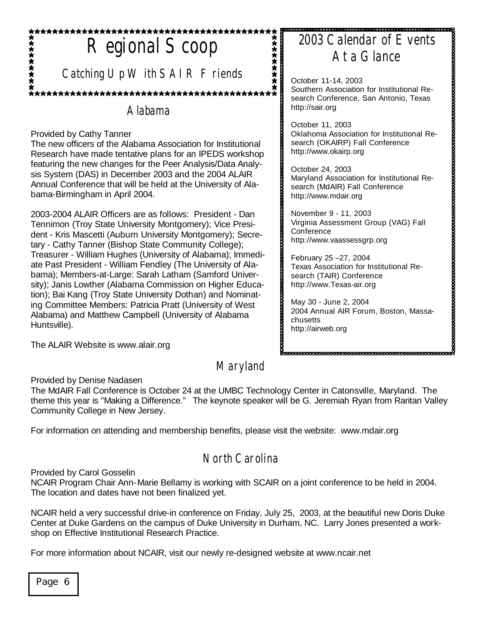# Regional Scoop

*Catching Up W ith SAIR Friends* 

# Alabama

#### Provided by Cathy Tanner

The new officers of the Alabama Association for Institutional Research have made tentative plans for an IPEDS workshop featuring the new changes for the Peer Analysis/Data Analysis System (DAS) in December 2003 and the 2004 ALAIR Annual Conference that will be held at the University of Alabama-Birmingham in April 2004.

2003-2004 ALAIR Officers are as follows: President - Dan Tennimon (Troy State University Montgomery); Vice President - Kris Mascetti (Auburn University Montgomery); Secretary - Cathy Tanner (Bishop State Community College); Treasurer - William Hughes (University of Alabama); Immediate Past President - William Fendley (The University of Alabama); Members-at-Large: Sarah Latham (Samford University); Janis Lowther (Alabama Commission on Higher Education); Bai Kang (Troy State University Dothan) and Nominating Committee Members: Patricia Pratt (University of West Alabama) and Matthew Campbell (University of Alabama Huntsville).

The ALAIR Website is www.alair.org

# Maryland

Provided by Denise Nadasen

The MdAIR Fall Conference is October 24 at the UMBC Technology Center in Catonsville, Maryland. The theme this year is "Making a Difference." The keynote speaker will be G. Jeremiah Ryan from Raritan Valley Community College in New Jersey.

For information on attending and membership benefits, please visit the website: www.mdair.org

# North Carolina

Provided by Carol Gosselin

NCAIR Program Chair Ann-Marie Bellamy is working with SCAIR on a joint conference to be held in 2004. The location and dates have not been finalized yet.

NCAIR held a very successful drive-in conference on Friday, July 25, 2003, at the beautiful new Doris Duke Center at Duke Gardens on the campus of Duke University in Durham, NC. Larry Jones presented a workshop on Effective Institutional Research Practice.

For more information about NCAIR, visit our newly re-designed website at www.ncair.net

# 2003 Calendar of Events At a Glance

October 11-14, 2003 Southern Association for Institutional Research Conference, San Antonio, Texas http://sair.org

October 11, 2003 Oklahoma Association for Institutional Research (OKAIRP) Fall Conference http://www.okairp.org

October 24, 2003 Maryland Association for Institutional Research (MdAIR) Fall Conference http://www.mdair.org

November 9 - 11, 2003 Virginia Assessment Group (VAG) Fall **Conference** http://www.vaassessgrp.org

February 25 –27, 2004 Texas Association for Institutional Research (TAIR) Conference http://www.Texas-air.org

May 30 - June 2, 2004 2004 Annual AIR Forum, Boston, Massachusetts http://airweb.org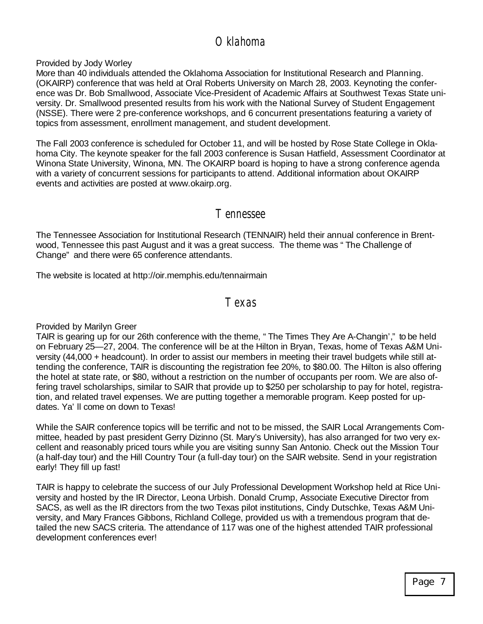# Oklahoma

Provided by Jody Worley

More than 40 individuals attended the Oklahoma Association for Institutional Research and Planning. (OKAIRP) conference that was held at Oral Roberts University on March 28, 2003. Keynoting the conference was Dr. Bob Smallwood, Associate Vice-President of Academic Affairs at Southwest Texas State university. Dr. Smallwood presented results from his work with the National Survey of Student Engagement (NSSE). There were 2 pre-conference workshops, and 6 concurrent presentations featuring a variety of topics from assessment, enrollment management, and student development.

The Fall 2003 conference is scheduled for October 11, and will be hosted by Rose State College in Oklahoma City. The keynote speaker for the fall 2003 conference is Susan Hatfield, Assessment Coordinator at Winona State University, Winona, MN. The OKAIRP board is hoping to have a strong conference agenda with a variety of concurrent sessions for participants to attend. Additional information about OKAIRP events and activities are posted at www.okairp.org.

## Tennessee

The Tennessee Association for Institutional Research (TENNAIR) held their annual conference in Brentwood, Tennessee this past August and it was a great success. The theme was "The Challenge of Change" and there were 65 conference attendants.

The website is located at http://oir.memphis.edu/tennairmain

#### Texas

Provided by Marilyn Greer

TAIR is gearing up for our 26th conference with the theme, "The Times They Are A-Changin'," to be held on February 25— 27, 2004. The conference will be at the Hilton in Bryan, Texas, home of Texas A&M University (44,000 + headcount). In order to assist our members in meeting their travel budgets while still attending the conference, TAIR is discounting the registration fee 20%, to \$80.00. The Hilton is also offering the hotel at state rate, or \$80, without a restriction on the number of occupants per room. We are also offering travel scholarships, similar to SAIR that provide up to \$250 per scholarship to pay for hotel, registration, and related travel expenses. We are putting together a memorable program. Keep posted for updates. Ya'll come on down to Texas!

While the SAIR conference topics will be terrific and not to be missed, the SAIR Local Arrangements Committee, headed by past president Gerry Dizinno (St. Mary's University), has also arranged for two very excellent and reasonably priced tours while you are visiting sunny San Antonio. Check out the Mission Tour (a half-day tour) and the Hill Country Tour (a full-day tour) on the SAIR website. Send in your registration early! They fill up fast!

TAIR is happy to celebrate the success of our July Professional Development Workshop held at Rice University and hosted by the IR Director, Leona Urbish. Donald Crump, Associate Executive Director from SACS, as well as the IR directors from the two Texas pilot institutions, Cindy Dutschke, Texas A&M University, and Mary Frances Gibbons, Richland College, provided us with a tremendous program that detailed the new SACS criteria. The attendance of 117 was one of the highest attended TAIR professional development conferences ever!